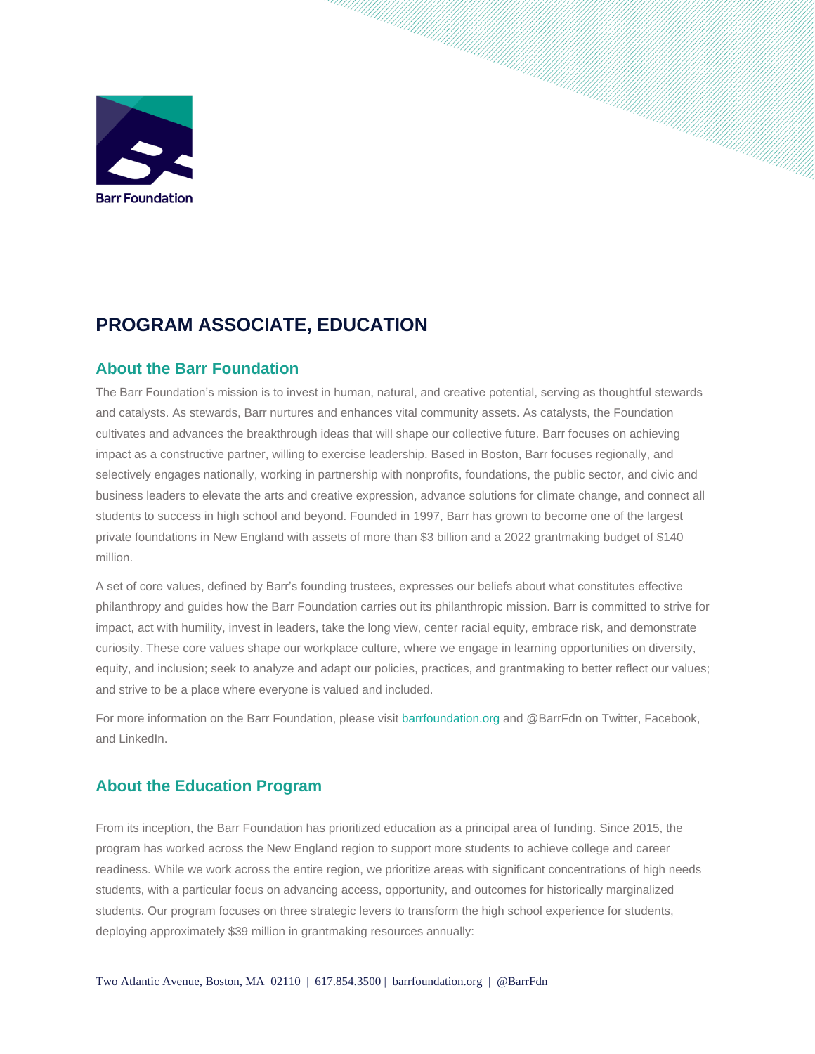

# **PROGRAM ASSOCIATE, EDUCATION**

# **About the Barr Foundation**

The Barr Foundation's mission is to invest in human, natural, and creative potential, serving as thoughtful stewards and catalysts. As stewards, Barr nurtures and enhances vital community assets. As catalysts, the Foundation cultivates and advances the breakthrough ideas that will shape our collective future. Barr focuses on achieving impact as a constructive partner, willing to exercise leadership. Based in Boston, Barr focuses regionally, and selectively engages nationally, working in partnership with nonprofits, foundations, the public sector, and civic and business leaders to elevate the arts and creative expression, advance solutions for climate change, and connect all students to success in high school and beyond. Founded in 1997, Barr has grown to become one of the largest private foundations in New England with assets of more than \$3 billion and a 2022 grantmaking budget of \$140 million.

A set of core values, defined by Barr's founding trustees, expresses our beliefs about what constitutes effective philanthropy and guides how the Barr Foundation carries out its philanthropic mission. Barr is committed to strive for impact, act with humility, invest in leaders, take the long view, center racial equity, embrace risk, and demonstrate curiosity. These core values shape our workplace culture, where we engage in learning opportunities on diversity, equity, and inclusion; seek to analyze and adapt our policies, practices, and grantmaking to better reflect our values; and strive to be a place where everyone is valued and included.

For more information on the Barr Foundation, please visit **barrfoundation.org** and @BarrFdn on Twitter, Facebook, and LinkedIn.

# **About the Education Program**

From its inception, the Barr Foundation has prioritized education as a principal area of funding. Since 2015, the program has worked across the New England region to support more students to achieve college and career readiness. While we work across the entire region, we prioritize areas with significant concentrations of high needs students, with a particular focus on advancing access, opportunity, and outcomes for historically marginalized students. Our program focuses on three strategic levers to transform the high school experience for students, deploying approximately \$39 million in grantmaking resources annually: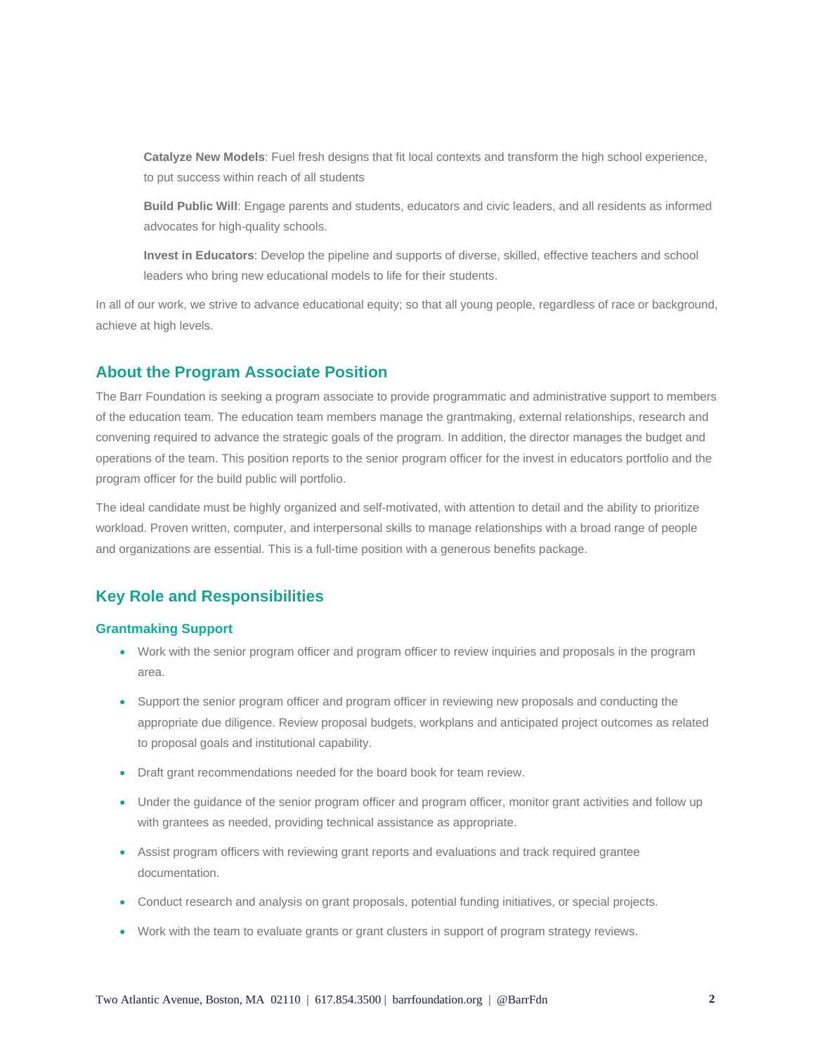**Catalyze New Models**: Fuel fresh designs that fit local contexts and transform the high school experience, to put success within reach of all students

**Build Public Will**: Engage parents and students, educators and civic leaders, and all residents as informed advocates for high-quality schools.

**Invest in Educators**: Develop the pipeline and supports of diverse, skilled, effective teachers and school leaders who bring new educational models to life for their students.

In all of our work, we strive to advance educational equity; so that all young people, regardless of race or background, achieve at high levels.

#### **About the Program Associate Position**

The Barr Foundation is seeking a program associate to provide programmatic and administrative support to members of the education team. The education team members manage the grantmaking, external relationships, research and convening required to advance the strategic goals of the program. In addition, the director manages the budget and operations of the team. This position reports to the senior program officer for the invest in educators portfolio and the program officer for the build public will portfolio.

The ideal candidate must be highly organized and self-motivated, with attention to detail and the ability to prioritize workload. Proven written, computer, and interpersonal skills to manage relationships with a broad range of people and organizations are essential. This is a full-time position with a generous benefits package.

# **Key Role and Responsibilities**

#### **Grantmaking Support**

- Work with the senior program officer and program officer to review inquiries and proposals in the program area.
- Support the senior program officer and program officer in reviewing new proposals and conducting the appropriate due diligence. Review proposal budgets, workplans and anticipated project outcomes as related to proposal goals and institutional capability.
- Draft grant recommendations needed for the board book for team review.
- Under the guidance of the senior program officer and program officer, monitor grant activities and follow up with grantees as needed, providing technical assistance as appropriate.
- Assist program officers with reviewing grant reports and evaluations and track required grantee documentation.
- Conduct research and analysis on grant proposals, potential funding initiatives, or special projects.
- Work with the team to evaluate grants or grant clusters in support of program strategy reviews.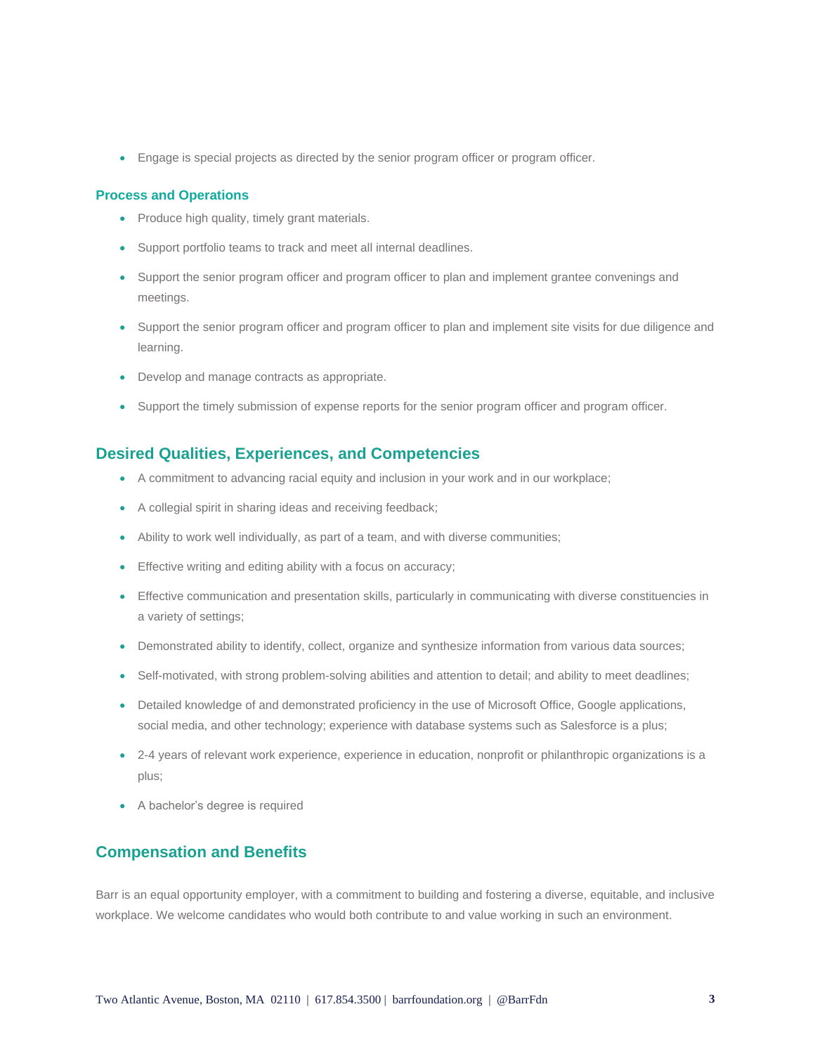• Engage is special projects as directed by the senior program officer or program officer.

#### **Process and Operations**

- Produce high quality, timely grant materials.
- Support portfolio teams to track and meet all internal deadlines.
- Support the senior program officer and program officer to plan and implement grantee convenings and meetings.
- Support the senior program officer and program officer to plan and implement site visits for due diligence and learning.
- Develop and manage contracts as appropriate.
- Support the timely submission of expense reports for the senior program officer and program officer.

#### **Desired Qualities, Experiences, and Competencies**

- A commitment to advancing racial equity and inclusion in your work and in our workplace;
- A collegial spirit in sharing ideas and receiving feedback;
- Ability to work well individually, as part of a team, and with diverse communities;
- Effective writing and editing ability with a focus on accuracy;
- Effective communication and presentation skills, particularly in communicating with diverse constituencies in a variety of settings;
- Demonstrated ability to identify, collect, organize and synthesize information from various data sources;
- Self-motivated, with strong problem-solving abilities and attention to detail; and ability to meet deadlines;
- Detailed knowledge of and demonstrated proficiency in the use of Microsoft Office, Google applications, social media, and other technology; experience with database systems such as Salesforce is a plus;
- 2-4 years of relevant work experience, experience in education, nonprofit or philanthropic organizations is a plus;
- A bachelor's degree is required

### **Compensation and Benefits**

Barr is an equal opportunity employer, with a commitment to building and fostering a diverse, equitable, and inclusive workplace. We welcome candidates who would both contribute to and value working in such an environment.